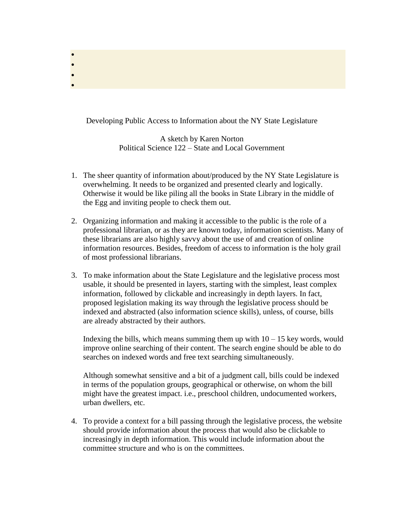Developing Public Access to Information about the NY State Legislature

• • • •

> A sketch by Karen Norton Political Science 122 – State and Local Government

- 1. The sheer quantity of information about/produced by the NY State Legislature is overwhelming. It needs to be organized and presented clearly and logically. Otherwise it would be like piling all the books in State Library in the middle of the Egg and inviting people to check them out.
- 2. Organizing information and making it accessible to the public is the role of a professional librarian, or as they are known today, information scientists. Many of these librarians are also highly savvy about the use of and creation of online information resources. Besides, freedom of access to information is the holy grail of most professional librarians.
- 3. To make information about the State Legislature and the legislative process most usable, it should be presented in layers, starting with the simplest, least complex information, followed by clickable and increasingly in depth layers. In fact, proposed legislation making its way through the legislative process should be indexed and abstracted (also information science skills), unless, of course, bills are already abstracted by their authors.

Indexing the bills, which means summing them up with  $10 - 15$  key words, would improve online searching of their content. The search engine should be able to do searches on indexed words and free text searching simultaneously.

Although somewhat sensitive and a bit of a judgment call, bills could be indexed in terms of the population groups, geographical or otherwise, on whom the bill might have the greatest impact. i.e., preschool children, undocumented workers, urban dwellers, etc.

4. To provide a context for a bill passing through the legislative process, the website should provide information about the process that would also be clickable to increasingly in depth information. This would include information about the committee structure and who is on the committees.